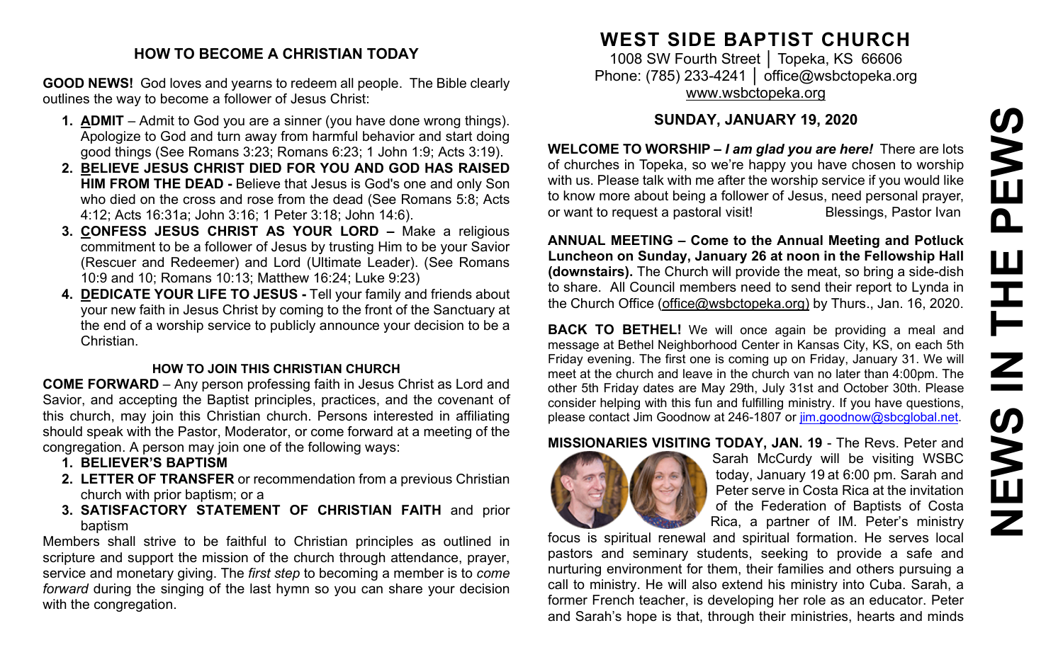#### **HOW TO BECOME A CHRISTIAN TODAY**

**GOOD NEWS!** God loves and yearns to redeem all people. The Bible clearly outlines the way to become a follower of Jesus Christ:

- **1. ADMIT** Admit to God you are a sinner (you have done wrong things). Apologize to God and turn away from harmful behavior and start doing good things (See Romans 3:23; Romans 6:23; 1 John 1:9; Acts 3:19).
- **2. BELIEVE JESUS CHRIST DIED FOR YOU AND GOD HAS RAISED HIM FROM THE DEAD -** Believe that Jesus is God's one and only Son who died on the cross and rose from the dead (See Romans 5:8; Acts 4:12; Acts 16:31a; John 3:16; 1 Peter 3:18; John 14:6).
- **3. CONFESS JESUS CHRIST AS YOUR LORD –** Make a religious commitment to be a follower of Jesus by trusting Him to be your Savior (Rescuer and Redeemer) and Lord (Ultimate Leader). (See Romans 10:9 and 10; Romans 10:13; Matthew 16:24; Luke 9:23)
- **4. DEDICATE YOUR LIFE TO JESUS -** Tell your family and friends about your new faith in Jesus Christ by coming to the front of the Sanctuary at the end of a worship service to publicly announce your decision to be a Christian.

#### **HOW TO JOIN THIS CHRISTIAN CHURCH**

**COME FORWARD** – Any person professing faith in Jesus Christ as Lord and Savior, and accepting the Baptist principles, practices, and the covenant of this church, may join this Christian church. Persons interested in affiliating should speak with the Pastor, Moderator, or come forward at a meeting of the congregation. A person may join one of the following ways:

- **1. BELIEVER'S BAPTISM**
- **2. LETTER OF TRANSFER** or recommendation from a previous Christian church with prior baptism; or a
- **3. SATISFACTORY STATEMENT OF CHRISTIAN FAITH** and prior baptism

Members shall strive to be faithful to Christian principles as outlined in scripture and support the mission of the church through attendance, prayer, service and monetary giving. The *first step* to becoming a member is to *come forward* during the singing of the last hymn so you can share your decision with the congregation.

# **WEST SIDE BAPTIST CHURCH**

1008 SW Fourth Street │ Topeka, KS 66606 Phone: (785) 233-4241 │ [office@wsbctopeka.org](mailto:office@wsbctopeka.org) [www.wsbctopeka.org](http://www.wsbctopeka.org/)

# **SUNDAY, JANUARY 19, 2020**

**WELCOME TO WORSHIP –** *I am glad you are here!* There are lots of churches in Topeka, so we're happy you have chosen to worship with us. Please talk with me after the worship service if you would like to know more about being a follower of Jesus, need personal prayer, or want to request a pastoral visit!<br>
Blessings, Pastor Ivan

**ANNUAL MEETING – Come to the Annual Meeting and Potluck Luncheon on Sunday, January 26 at noon in the Fellowship Hall (downstairs).** The Church will provide the meat, so bring a side-dish to share. All Council members need to send their report to Lynda in the Church Office [\(office@wsbctopeka.org\)](mailto:office@wsbctopeka.org) by Thurs., Jan. 16, 2020.

**BACK TO BETHEL!** We will once again be providing a meal and message at Bethel Neighborhood Center in Kansas City, KS, on each 5th Friday evening. The first one is coming up on Friday, January 31. We will meet at the church and leave in the church van no later than 4:00pm. The other 5th Friday dates are May 29th, July 31st and October 30th. Please consider helping with this fun and fulfilling ministry. If you have questions, please contact Jim Goodnow at 246-1807 or [jim.goodnow@sbcglobal.net.](mailto:jim.goodnow@sbcglobal.net)

# **MISSIONARIES VISITING TODAY, JAN. 19** - The Revs. Peter and



Sarah McCurdy will be visiting WSBC today, January 19 at 6:00 pm. Sarah and Peter serve in Costa Rica at the invitation of the Federation of Baptists of Costa Rica, a partner of IM. Peter's ministry

focus is spiritual renewal and spiritual formation. He serves local pastors and seminary students, seeking to provide a safe and nurturing environment for them, their families and others pursuing a call to ministry. He will also extend his ministry into Cuba. Sarah, a former French teacher, is developing her role as an educator. Peter and Sarah's hope is that, through their ministries, hearts and minds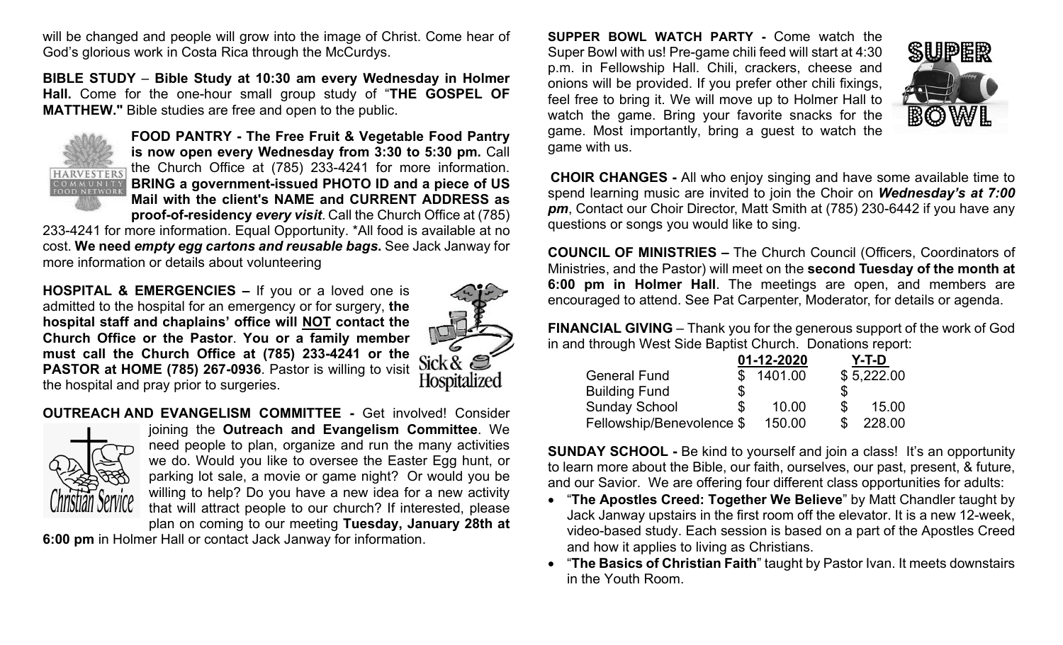will be changed and people will grow into the image of Christ. Come hear of God's glorious work in Costa Rica through the McCurdys.

**BIBLE STUDY** – **Bible Study at 10:30 am every Wednesday in Holmer Hall.** Come for the one-hour small group study of "**THE GOSPEL OF MATTHEW."** Bible studies are free and open to the public.



**FOOD PANTRY - The Free Fruit & Vegetable Food Pantry is now open every Wednesday from 3:30 to 5:30 pm. Call** the Church Office at (785) 233-4241 for more information. **BRING a government-issued PHOTO ID and a piece of US Mail with the client's NAME and CURRENT ADDRESS as proof-of-residency** *every visit*. Call the Church Office at (785)

233-4241 for more information. Equal Opportunity. \*All food is available at no cost. **We need** *empty egg cartons and reusable bags***.** See Jack Janway for more information or details about volunteering

**HOSPITAL & EMERGENCIES –** If you or a loved one is admitted to the hospital for an emergency or for surgery, **the hospital staff and chaplains' office will NOT contact the Church Office or the Pastor**. **You or a family member must call the Church Office at (785) 233-4241 or the PASTOR at HOME (785) 267-0936**. Pastor is willing to visit the hospital and pray prior to surgeries.



**OUTREACH AND EVANGELISM COMMITTEE -** Get involved! Consider



joining the **Outreach and Evangelism Committee**. We need people to plan, organize and run the many activities we do. Would you like to oversee the Easter Egg hunt, or parking lot sale, a movie or game night? Or would you be willing to help? Do you have a new idea for a new activity that will attract people to our church? If interested, please plan on coming to our meeting **Tuesday, January 28th at** 

**6:00 pm** in Holmer Hall or contact Jack Janway for information.

**SUPPER BOWL WATCH PARTY -** Come watch the Super Bowl with us! Pre-game chili feed will start at 4:30 p.m. in Fellowship Hall. Chili, crackers, cheese and onions will be provided. If you prefer other chili fixings, feel free to bring it. We will move up to Holmer Hall to watch the game. Bring your favorite snacks for the game. Most importantly, bring a guest to watch the game with us.



**CHOIR CHANGES -** All who enjoy singing and have some available time to spend learning music are invited to join the Choir on *Wednesday's at 7:00 pm*, Contact our Choir Director, Matt Smith at (785) 230-6442 if you have any questions or songs you would like to sing.

**COUNCIL OF MINISTRIES –** The Church Council (Officers, Coordinators of Ministries, and the Pastor) will meet on the **second Tuesday of the month at 6:00 pm in Holmer Hall**. The meetings are open, and members are encouraged to attend. See Pat Carpenter, Moderator, for details or agenda.

**FINANCIAL GIVING** – Thank you for the generous support of the work of God in and through West Side Baptist Church. Donations report:

|                           |    | 01-12-2020 |   | Y-T-D      |
|---------------------------|----|------------|---|------------|
| <b>General Fund</b>       |    | \$1401.00  |   | \$5,222.00 |
| <b>Building Fund</b>      | \$ |            | S |            |
| <b>Sunday School</b>      | S  | 10.00      | S | 15.00      |
| Fellowship/Benevolence \$ |    | 150.00     |   | 228.00     |

**SUNDAY SCHOOL -** Be kind to yourself and join a class! It's an opportunity to learn more about the Bible, our faith, ourselves, our past, present, & future, and our Savior. We are offering four different class opportunities for adults:

- "**The Apostles Creed: Together We Believe**" by Matt Chandler taught by Jack Janway upstairs in the first room off the elevator. It is a new 12-week, video-based study. Each session is based on a part of the Apostles Creed and how it applies to living as Christians.
- "**The Basics of Christian Faith**" taught by Pastor Ivan. It meets downstairs in the Youth Room.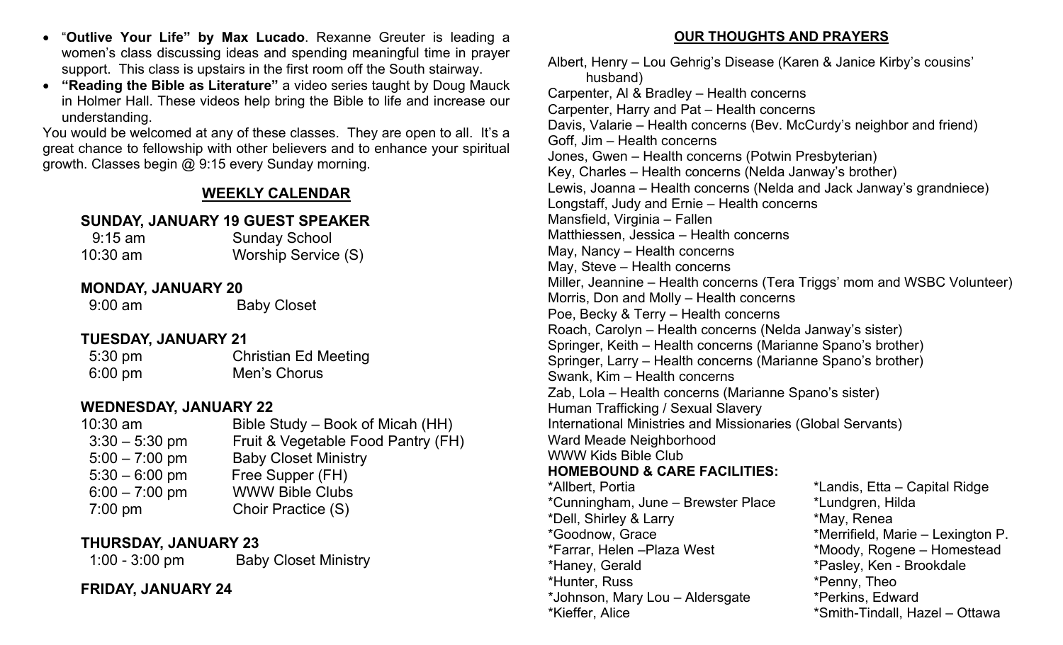- "**Outlive Your Life" by Max Lucado**. Rexanne Greuter is leading a women's class discussing ideas and spending meaningful time in prayer support. This class is upstairs in the first room off the South stairway.
- **"Reading the Bible as Literature"** a video series taught by Doug Mauck in Holmer Hall. These videos help bring the Bible to life and increase our understanding.

You would be welcomed at any of these classes. They are open to all. It's a great chance to fellowship with other believers and to enhance your spiritual growth. Classes begin @ 9:15 every Sunday morning.

# **WEEKLY CALENDAR**

## **SUNDAY, JANUARY 19 GUEST SPEAKER**

| $9:15$ am  | <b>Sunday School</b> |  |
|------------|----------------------|--|
| $10:30$ am | Worship Service (S)  |  |

#### **MONDAY, JANUARY 20**

9:00 am Baby Closet

## **TUESDAY, JANUARY 21**

5:30 pm Christian Ed Meeting 6:00 pm Men's Chorus

## **WEDNESDAY, JANUARY 22**

| $10:30$ am       | Bible Study – Book of Micah (HH)   |
|------------------|------------------------------------|
| $3:30 - 5:30$ pm | Fruit & Vegetable Food Pantry (FH) |
| $5:00 - 7:00$ pm | <b>Baby Closet Ministry</b>        |
| $5:30 - 6:00$ pm | Free Supper (FH)                   |
| $6:00 - 7:00$ pm | <b>WWW Bible Clubs</b>             |
| $7:00$ pm        | Choir Practice (S)                 |
|                  |                                    |

# **THURSDAY, JANUARY 23**

1:00 - 3:00 pm Baby Closet Ministry

## **FRIDAY, JANUARY 24**

**OUR THOUGHTS AND PRAYERS**

Albert, Henry – Lou Gehrig's Disease (Karen & Janice Kirby's cousins' husband) Carpenter, Al & Bradley – Health concerns Carpenter, Harry and Pat – Health concerns Davis, Valarie – Health concerns (Bev. McCurdy's neighbor and friend) Goff, Jim – Health concerns Jones, Gwen – Health concerns (Potwin Presbyterian) Key, Charles – Health concerns (Nelda Janway's brother) Lewis, Joanna – Health concerns (Nelda and Jack Janway's grandniece) Longstaff, Judy and Ernie – Health concerns Mansfield, Virginia – Fallen Matthiessen, Jessica – Health concerns May, Nancy – Health concerns May, Steve – Health concerns Miller, Jeannine – Health concerns (Tera Triggs' mom and WSBC Volunteer) Morris, Don and Molly – Health concerns Poe, Becky & Terry – Health concerns Roach, Carolyn – Health concerns (Nelda Janway's sister) Springer, Keith – Health concerns (Marianne Spano's brother) Springer, Larry – Health concerns (Marianne Spano's brother) Swank, Kim – Health concerns Zab, Lola – Health concerns (Marianne Spano's sister) Human Trafficking / Sexual Slavery International Ministries and Missionaries (Global Servants) Ward Meade Neighborhood WWW Kids Bible Club **HOMEBOUND & CARE FACILITIES:**  \*Allbert, Portia \*Landis, Etta – Capital Ridge \*Cunningham, June – Brewster Place \*Lundgren, Hilda \*Dell, Shirley & Larry \*May, Renea \*Goodnow, Grace \*Merrifield, Marie – Lexington P. \*Farrar, Helen –Plaza West \*Moody, Rogene – Homestead \*Haney, Gerald \*Pasley, Ken - Brookdale \*Hunter, Russ \*Penny, Theo \*Johnson, Mary Lou – Aldersgate \*Perkins, Edward \*Kieffer, Alice \*Smith-Tindall, Hazel – Ottawa